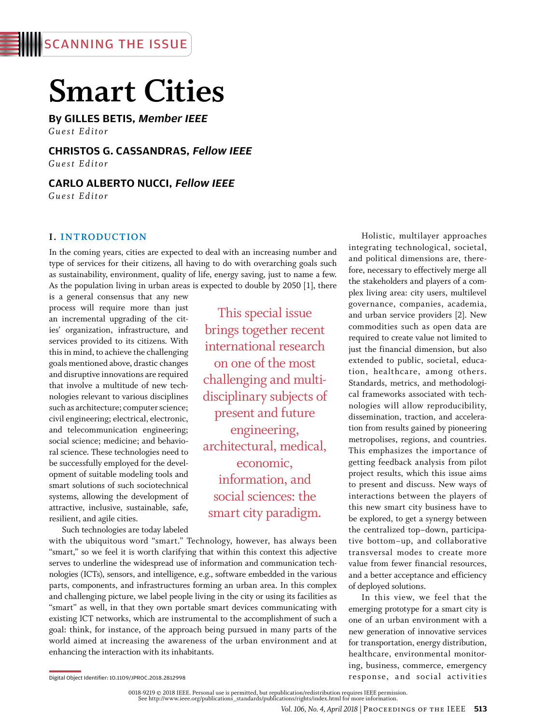# **Smart Cities**

By GILLES BETIS, Member IEEE *Guest Editor*

CHRISTOS G. CASSANDRAS, Fellow IEEE *Guest Editor*

CARLO ALBERTO NUCCI, Fellow IEEE

*Guest Editor*

### **I. INTRODUCTION**

In the coming years, cities are expected to deal with an increasing number and type of services for their citizens, all having to do with overarching goals such as sustainability, environment, quality of life, energy saving, just to name a few. As the population living in urban areas is expected to double by 2050 [1], there

is a general consensus that any new process will require more than just an incremental upgrading of the cities' organization, infrastructure, and services provided to its citizens. With this in mind, to achieve the challenging goals mentioned above, drastic changes and disruptive innovations are required that involve a multitude of new technologies relevant to various disciplines such as architecture; computer science; civil engineering; electrical, electronic, and telecommunication engineering; social science; medicine; and behavioral science. These technologies need to be successfully employed for the development of suitable modeling tools and smart solutions of such sociotechnical systems, allowing the development of attractive, inclusive, sustainable, safe, resilient, and agile cities.

Such technologies are today labeled

with the ubiquitous word "smart." Technology, however, has always been "smart," so we feel it is worth clarifying that within this context this adjective serves to underline the widespread use of information and communication technologies (ICTs), sensors, and intelligence, e.g., software embedded in the various parts, components, and infrastructures forming an urban area. In this complex and challenging picture, we label people living in the city or using its facilities as "smart" as well, in that they own portable smart devices communicating with existing ICT networks, which are instrumental to the accomplishment of such a goal: think, for instance, of the approach being pursued in many parts of the world aimed at increasing the awareness of the urban environment and at enhancing the interaction with its inhabitants.

Holistic, multilayer approaches integrating technological, societal, and political dimensions are, therefore, necessary to effectively merge all the stakeholders and players of a complex living area: city users, multilevel governance, companies, academia, and urban service providers [2]. New commodities such as open data are required to create value not limited to just the financial dimension, but also extended to public, societal, education, healthcare, among others. Standards, metrics, and methodological frameworks associated with technologies will allow reproducibility, dissemination, traction, and acceleration from results gained by pioneering metropolises, regions, and countries. This emphasizes the importance of getting feedback analysis from pilot project results, which this issue aims to present and discuss. New ways of interactions between the players of this new smart city business have to be explored, to get a synergy between the centralized top–down, participative bottom–up, and collaborative transversal modes to create more value from fewer financial resources, and a better acceptance and efficiency of deployed solutions.

In this view, we feel that the emerging prototype for a smart city is one of an urban environment with a new generation of innovative services for transportation, energy distribution, healthcare, environmental monitoring, business, commerce, emergency response, and social activities

This special issue brings together recent international research on one of the most challenging and multidisciplinary subjects of present and future engineering, architectural, medical, economic, information, and social sciences: the smart city paradigm.

Digital Object Identifier: 10.1109/JPROC.2018.2812998

<sup>0018-9219</sup> $\circledcirc$  2018 IEEE. Personal use is permitted, but republication/redistribution requires IEEE permission. See http://www.ieee.org/publications\_standards/publications/rights/index.html for more information.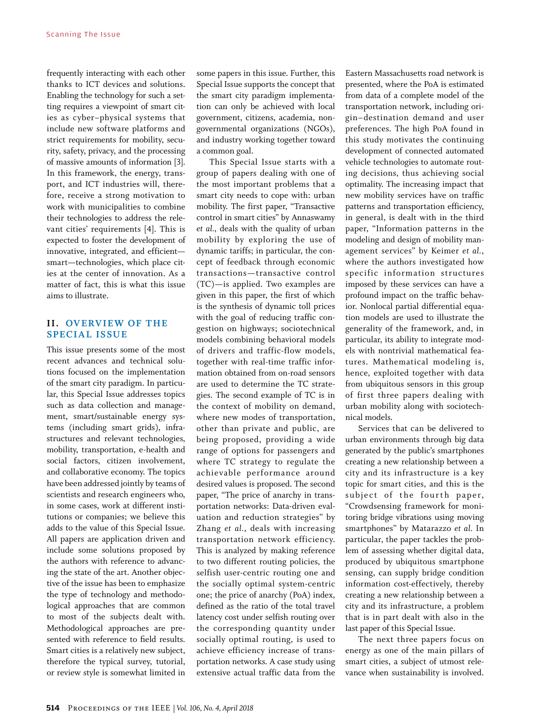frequently interacting with each other thanks to ICT devices and solutions. Enabling the technology for such a setting requires a viewpoint of smart cities as cyber–physical systems that include new software platforms and strict requirements for mobility, security, safety, privacy, and the processing of massive amounts of information [3]. In this framework, the energy, transport, and ICT industries will, therefore, receive a strong motivation to work with municipalities to combine their technologies to address the relevant cities' requirements [4]. This is expected to foster the development of innovative, integrated, and efficient smart—technologies, which place cities at the center of innovation. As a matter of fact, this is what this issue aims to illustrate.

## **II. OVERVIEW OF THE SPECIAL ISSUE**

This issue presents some of the most recent advances and technical solutions focused on the implementation of the smart city paradigm. In particular, this Special Issue addresses topics such as data collection and management, smart/sustainable energy systems (including smart grids), infrastructures and relevant technologies, mobility, transportation, e-health and social factors, citizen involvement, and collaborative economy. The topics have been addressed jointly by teams of scientists and research engineers who, in some cases, work at different institutions or companies; we believe this adds to the value of this Special Issue. All papers are application driven and include some solutions proposed by the authors with reference to advancing the state of the art. Another objective of the issue has been to emphasize the type of technology and methodological approaches that are common to most of the subjects dealt with. Methodological approaches are presented with reference to field results. Smart cities is a relatively new subject, therefore the typical survey, tutorial, or review style is somewhat limited in

some papers in this issue. Further, this Special Issue supports the concept that the smart city paradigm implementation can only be achieved with local government, citizens, academia, nongovernmental organizations (NGOs), and industry working together toward a common goal.

This Special Issue starts with a group of papers dealing with one of the most important problems that a smart city needs to cope with: urban mobility. The first paper, "Transactive control in smart cities" by Annaswamy *et al.*, deals with the quality of urban mobility by exploring the use of dynamic tariffs; in particular, the concept of feedback through economic transactions—transactive control (TC)—is applied. Two examples are given in this paper, the first of which is the synthesis of dynamic toll prices with the goal of reducing traffic congestion on highways; sociotechnical models combining behavioral models of drivers and traffic-flow models, together with real-time traffic information obtained from on-road sensors are used to determine the TC strategies. The second example of TC is in the context of mobility on demand, where new modes of transportation, other than private and public, are being proposed, providing a wide range of options for passengers and where TC strategy to regulate the achievable performance around desired values is proposed. The second paper, "The price of anarchy in transportation networks: Data-driven evaluation and reduction strategies" by Zhang *et al.*, deals with increasing transportation network efficiency. This is analyzed by making reference to two different routing policies, the selfish user-centric routing one and the socially optimal system-centric one; the price of anarchy (PoA) index, defined as the ratio of the total travel latency cost under selfish routing over the corresponding quantity under socially optimal routing, is used to achieve efficiency increase of transportation networks. A case study using extensive actual traffic data from the

Eastern Massachusetts road network is presented, where the PoA is estimated from data of a complete model of the transportation network, including origin–destination demand and user preferences. The high PoA found in this study motivates the continuing development of connected automated vehicle technologies to automate routing decisions, thus achieving social optimality. The increasing impact that new mobility services have on traffic patterns and transportation efficiency, in general, is dealt with in the third paper, "Information patterns in the modeling and design of mobility management services" by Keimer *et al.*, where the authors investigated how specific information structures imposed by these services can have a profound impact on the traffic behavior. Nonlocal partial differential equation models are used to illustrate the generality of the framework, and, in particular, its ability to integrate models with nontrivial mathematical features. Mathematical modeling is, hence, exploited together with data from ubiquitous sensors in this group of first three papers dealing with urban mobility along with sociotechnical models.

Services that can be delivered to urban environments through big data generated by the public's smartphones creating a new relationship between a city and its infrastructure is a key topic for smart cities, and this is the subject of the fourth paper, "Crowdsensing framework for monitoring bridge vibrations using moving smartphones" by Matarazzo *et al.* In particular, the paper tackles the problem of assessing whether digital data, produced by ubiquitous smartphone sensing, can supply bridge condition information cost-effectively, thereby creating a new relationship between a city and its infrastructure, a problem that is in part dealt with also in the last paper of this Special Issue.

The next three papers focus on energy as one of the main pillars of smart cities, a subject of utmost relevance when sustainability is involved.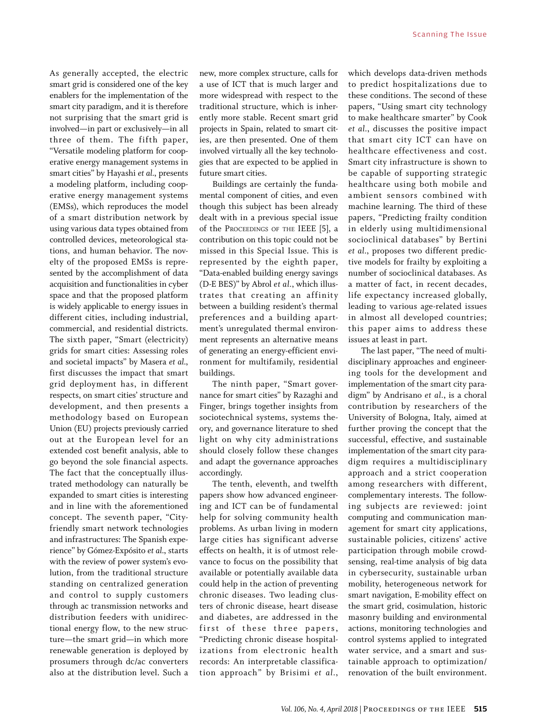As generally accepted, the electric smart grid is considered one of the key enablers for the implementation of the smart city paradigm, and it is therefore not surprising that the smart grid is involved—in part or exclusively—in all three of them. The fifth paper, "Versatile modeling platform for cooperative energy management systems in smart cities" by Hayashi *et al.*, presents a modeling platform, including cooperative energy management systems (EMSs), which reproduces the model of a smart distribution network by using various data types obtained from controlled devices, meteorological stations, and human behavior. The novelty of the proposed EMSs is represented by the accomplishment of data acquisition and functionalities in cyber space and that the proposed platform is widely applicable to energy issues in different cities, including industrial, commercial, and residential districts. The sixth paper, "Smart (electricity) grids for smart cities: Assessing roles and societal impacts" by Masera *et al.*, first discusses the impact that smart grid deployment has, in different respects, on smart cities' structure and development, and then presents a methodology based on European Union (EU) projects previously carried out at the European level for an extended cost benefit analysis, able to go beyond the sole financial aspects. The fact that the conceptually illustrated methodology can naturally be expanded to smart cities is interesting and in line with the aforementioned concept. The seventh paper, "Cityfriendly smart network technologies and infrastructures: The Spanish experience" by Gómez-Expósito *et al.*, starts with the review of power system's evolution, from the traditional structure standing on centralized generation and control to supply customers through ac transmission networks and distribution feeders with unidirectional energy flow, to the new structure—the smart grid—in which more renewable generation is deployed by prosumers through dc/ac converters also at the distribution level. Such a

new, more complex structure, calls for a use of ICT that is much larger and more widespread with respect to the traditional structure, which is inherently more stable. Recent smart grid projects in Spain, related to smart cities, are then presented. One of them involved virtually all the key technologies that are expected to be applied in future smart cities.

Buildings are certainly the fundamental component of cities, and even though this subject has been already dealt with in a previous special issue of the Proceedings of the IEEE [5], a contribution on this topic could not be missed in this Special Issue. This is represented by the eighth paper, "Data-enabled building energy savings (D-E BES)" by Abrol *et al.*, which illustrates that creating an affinity between a building resident's thermal preferences and a building apartment's unregulated thermal environment represents an alternative means of generating an energy-efficient environment for multifamily, residential buildings.

The ninth paper, "Smart governance for smart cities" by Razaghi and Finger, brings together insights from sociotechnical systems, systems theory, and governance literature to shed light on why city administrations should closely follow these changes and adapt the governance approaches accordingly.

The tenth, eleventh, and twelfth papers show how advanced engineering and ICT can be of fundamental help for solving community health problems. As urban living in modern large cities has significant adverse effects on health, it is of utmost relevance to focus on the possibility that available or potentially available data could help in the action of preventing chronic diseases. Two leading clusters of chronic disease, heart disease and diabetes, are addressed in the first of these three papers, "Predicting chronic disease hospitalizations from electronic health records: An interpretable classification approach" by Brisimi *et al.*,

which develops data-driven methods to predict hospitalizations due to these conditions. The second of these papers, "Using smart city technology to make healthcare smarter" by Cook *et al.*, discusses the positive impact that smart city ICT can have on healthcare effectiveness and cost. Smart city infrastructure is shown to be capable of supporting strategic healthcare using both mobile and ambient sensors combined with machine learning. The third of these papers, "Predicting frailty condition in elderly using multidimensional socioclinical databases" by Bertini *et al.*, proposes two different predictive models for frailty by exploiting a number of socioclinical databases. As a matter of fact, in recent decades, life expectancy increased globally, leading to various age-related issues in almost all developed countries; this paper aims to address these issues at least in part.

The last paper, "The need of multidisciplinary approaches and engineering tools for the development and implementation of the smart city paradigm" by Andrisano *et al.*, is a choral contribution by researchers of the University of Bologna, Italy, aimed at further proving the concept that the successful, effective, and sustainable implementation of the smart city paradigm requires a multidisciplinary approach and a strict cooperation among researchers with different, complementary interests. The following subjects are reviewed: joint computing and communication management for smart city applications, sustainable policies, citizens' active participation through mobile crowdsensing, real-time analysis of big data in cybersecurity, sustainable urban mobility, heterogeneous network for smart navigation, E-mobility effect on the smart grid, cosimulation, historic masonry building and environmental actions, monitoring technologies and control systems applied to integrated water service, and a smart and sustainable approach to optimization/ renovation of the built environment.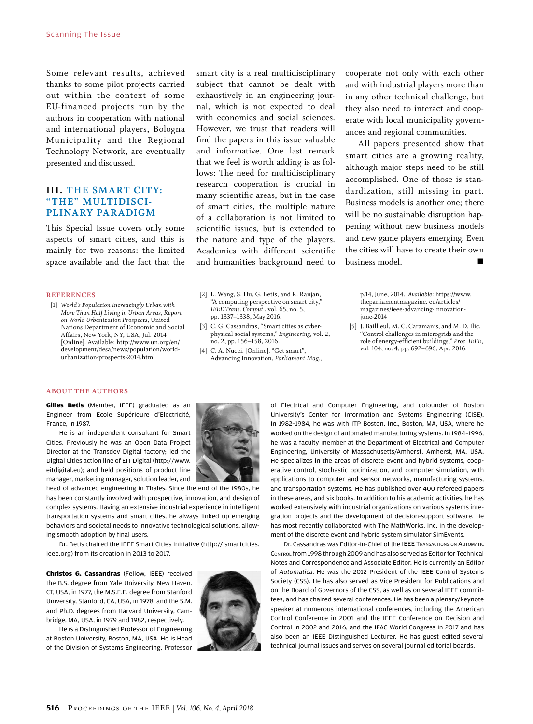Some relevant results, achieved thanks to some pilot projects carried out within the context of some EU-financed projects run by the authors in cooperation with national and international players, Bologna Municipality and the Regional Technology Network, are eventually presented and discussed.

## **III. THE SMART CITY: "THE" MULTIDISCI-PLINARY PARADIGM**

This Special Issue covers only some aspects of smart cities, and this is mainly for two reasons: the limited space available and the fact that the

#### **REFERENCES**

[1] *World's Population Increasingly Urban with More Than Half Living in Urban Areas, Report on World Urbanization Prospects*, United Nations Department of Economic and Social Affairs, New York, NY, USA, Jul. 2014 [Online]. Available: http://www.un.org/en/ development/desa/news/population/worldurbanization-prospects-2014.html

smart city is a real multidisciplinary subject that cannot be dealt with exhaustively in an engineering journal, which is not expected to deal with economics and social sciences. However, we trust that readers will find the papers in this issue valuable and informative. One last remark that we feel is worth adding is as follows: The need for multidisciplinary research cooperation is crucial in many scientific areas, but in the case of smart cities, the multiple nature of a collaboration is not limited to scientific issues, but is extended to the nature and type of the players. Academics with different scientific and humanities background need to

- [2] L. Wang, S. Hu, G. Betis, and R. Ranjan, "A computing perspective on smart city," *IEEE Trans. Comput.*, vol. 65, no. 5, pp. 1337–1338, May 2016.
- [3] C. G. Cassandras, "Smart cities as cyberphysical social systems," *Engineering*, vol. 2, no. 2, pp. 156–158, 2016. [4] C. A. Nucci. [Online]. "Get smart",
- Advancing Innovation, *Parliament Mag.,*

cooperate not only with each other and with industrial players more than in any other technical challenge, but they also need to interact and cooperate with local municipality governances and regional communities.

All papers presented show that smart cities are a growing reality, although major steps need to be still accomplished. One of those is standardization, still missing in part. Business models is another one; there will be no sustainable disruption happening without new business models and new game players emerging. Even the cities will have to create their own business model.

> p.14, June, 2014. *Available*: https://www. theparliamentmagazine. eu/articles/ magazines/ieee-advancing-innovationjune-2014

[5] J. Baillieul, M. C. Caramanis, and M. D. Ilic, "Control challenges in microgrids and the role of energy-efficient buildings," *Proc. IEEE*, vol. 104, no. 4, pp. 692–696, Apr. 2016.

#### **ABOUT THE AUTHORS**

**Gilles Betis** (Member, IEEE) graduated as an Engineer from Ecole Supérieure d'Electricité, France, in 1987.

He is an independent consultant for Smart Cities. Previously he was an Open Data Project Director at the Transdev Digital factory; led the Digital Cities action line of EIT Digital (http://www. eitdigital.eu); and held positions of product line manager, marketing manager, solution leader, and

head of advanced engineering in Thales. Since the end of the 1980s, he has been constantly involved with prospective, innovation, and design of complex systems. Having an extensive industrial experience in intelligent transportation systems and smart cities, he always linked up emerging behaviors and societal needs to innovative technological solutions, allowing smooth adoption by final users.

Dr. Betis chaired the IEEE Smart Cities Initiative (http:// smartcities. ieee.org) from its creation in 2013 to 2017.

**Christos G. Cassandras** (Fellow, IEEE) received the B.S. degree from Yale University, New Haven, CT, USA, in 1977, the M.S.E.E. degree from Stanford University, Stanford, CA, USA, in 1978, and the S.M. and Ph.D. degrees from Harvard University, Cambridge, MA, USA, in 1979 and 1982, respectively.

He is a Distinguished Professor of Engineering at Boston University, Boston, MA, USA. He is Head of the Division of Systems Engineering, Professor



of Electrical and Computer Engineering, and cofounder of Boston University's Center for Information and Systems Engineering (CISE). In 1982-1984, he was with ITP Boston, Inc., Boston, MA, USA, where he worked on the design of automated manufacturing systems. In 1984-1996, he was a faculty member at the Department of Electrical and Computer Engineering, University of Massachusetts/Amherst, Amherst, MA, USA. He specializes in the areas of discrete event and hybrid systems, cooperative control, stochastic optimization, and computer simulation, with applications to computer and sensor networks, manufacturing systems, and transportation systems. He has published over 400 refereed papers in these areas, and six books. In addition to his academic activities, he has worked extensively with industrial organizations on various systems integration projects and the development of decision-support software. He has most recently collaborated with The MathWorks, Inc. in the development of the discrete event and hybrid system simulator SimEvents.

Dr. Cassandras was Editor-in-Chief of the IEEE Transactions on Automatic Control from 1998 through 2009 and has also served as Editor for Technical Notes and Correspondence and Associate Editor. He is currently an Editor of Automatica. He was the 2012 President of the IEEE Control Systems Society (CSS). He has also served as Vice President for Publications and on the Board of Governors of the CSS, as well as on several IEEE committees, and has chaired several conferences. He has been a plenary/keynote speaker at numerous international conferences, including the American Control Conference in 2001 and the IEEE Conference on Decision and Control in 2002 and 2016, and the IFAC World Congress in 2017 and has also been an IEEE Distinguished Lecturer. He has guest edited several technical journal issues and serves on several journal editorial boards.